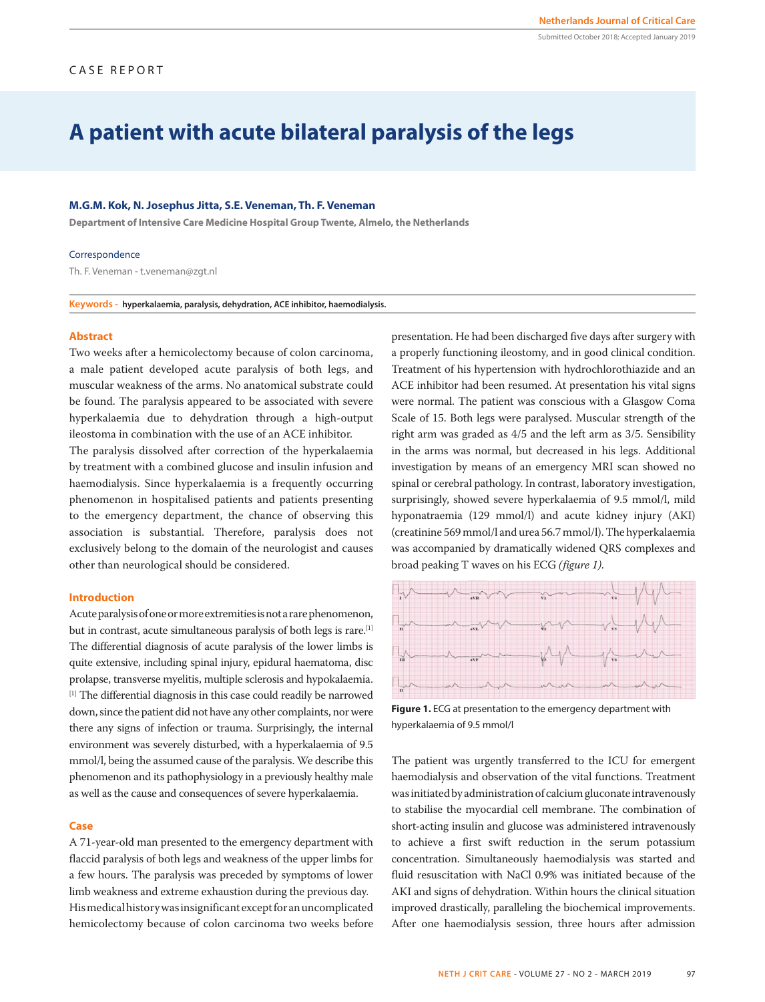# **A patient with acute bilateral paralysis of the legs**

## **M.G.M. Kok, N. Josephus Jitta, S.E. Veneman, Th. F. Veneman**

**Department of Intensive Care Medicine Hospital Group Twente, Almelo, the Netherlands**

#### Correspondence

Th. F. Veneman - t.veneman@zgt.nl

**Keywords - hyperkalaemia, paralysis, dehydration, ACE inhibitor, haemodialysis.**

#### **Abstract**

Two weeks after a hemicolectomy because of colon carcinoma, a male patient developed acute paralysis of both legs, and muscular weakness of the arms. No anatomical substrate could be found. The paralysis appeared to be associated with severe hyperkalaemia due to dehydration through a high-output ileostoma in combination with the use of an ACE inhibitor.

The paralysis dissolved after correction of the hyperkalaemia by treatment with a combined glucose and insulin infusion and haemodialysis. Since hyperkalaemia is a frequently occurring phenomenon in hospitalised patients and patients presenting to the emergency department, the chance of observing this association is substantial. Therefore, paralysis does not exclusively belong to the domain of the neurologist and causes other than neurological should be considered.

#### **Introduction**

Acute paralysis of one or more extremities is not a rare phenomenon, but in contrast, acute simultaneous paralysis of both legs is rare.[1] The differential diagnosis of acute paralysis of the lower limbs is quite extensive, including spinal injury, epidural haematoma, disc prolapse, transverse myelitis, multiple sclerosis and hypokalaemia. [1] The differential diagnosis in this case could readily be narrowed down, since the patient did not have any other complaints, nor were there any signs of infection or trauma. Surprisingly, the internal environment was severely disturbed, with a hyperkalaemia of 9.5 mmol/l, being the assumed cause of the paralysis. We describe this phenomenon and its pathophysiology in a previously healthy male as well as the cause and consequences of severe hyperkalaemia.

#### **Case**

A 71-year-old man presented to the emergency department with flaccid paralysis of both legs and weakness of the upper limbs for a few hours. The paralysis was preceded by symptoms of lower limb weakness and extreme exhaustion during the previous day. His medical history was insignificant except for an uncomplicated hemicolectomy because of colon carcinoma two weeks before

presentation. He had been discharged five days after surgery with a properly functioning ileostomy, and in good clinical condition. Treatment of his hypertension with hydrochlorothiazide and an ACE inhibitor had been resumed. At presentation his vital signs were normal. The patient was conscious with a Glasgow Coma Scale of 15. Both legs were paralysed. Muscular strength of the right arm was graded as 4/5 and the left arm as 3/5. Sensibility in the arms was normal, but decreased in his legs. Additional investigation by means of an emergency MRI scan showed no spinal or cerebral pathology. In contrast, laboratory investigation, surprisingly, showed severe hyperkalaemia of 9.5 mmol/l, mild hyponatraemia (129 mmol/l) and acute kidney injury (AKI) (creatinine 569 mmol/l and urea 56.7 mmol/l). The hyperkalaemia was accompanied by dramatically widened QRS complexes and broad peaking T waves on his ECG *(figure 1)*.



**Figure 1.** ECG at presentation to the emergency department with hyperkalaemia of 9.5 mmol/l

The patient was urgently transferred to the ICU for emergent haemodialysis and observation of the vital functions. Treatment was initiated by administration of calcium gluconate intravenously to stabilise the myocardial cell membrane. The combination of short-acting insulin and glucose was administered intravenously to achieve a first swift reduction in the serum potassium concentration. Simultaneously haemodialysis was started and fluid resuscitation with NaCl 0.9% was initiated because of the AKI and signs of dehydration. Within hours the clinical situation improved drastically, paralleling the biochemical improvements. After one haemodialysis session, three hours after admission